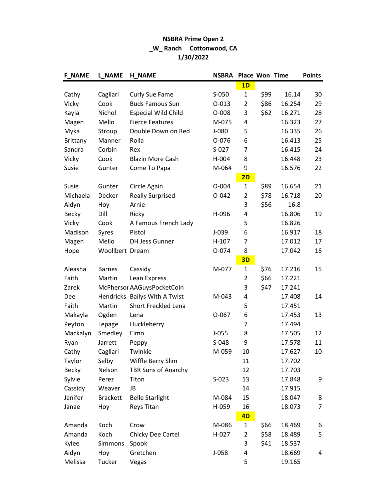## NSBRA Prime Open 2 \_W\_ Ranch Cottonwood, CA 1/30/2022

| <b>F NAME</b>   | <b>L NAME</b>   | <b>H_NAME</b>                 | <b>NSBRA</b> | Place Won Time |      |        | <b>Points</b> |
|-----------------|-----------------|-------------------------------|--------------|----------------|------|--------|---------------|
|                 |                 |                               |              | 1D             |      |        |               |
| Cathy           | Cagliari        | Curly Sue Fame                | $S-050$      | $\mathbf{1}$   | \$99 | 16.14  | 30            |
| Vicky           | Cook            | <b>Buds Famous Sun</b>        | $0 - 013$    | $\overline{2}$ | \$86 | 16.254 | 29            |
| Kayla           | Nichol          | <b>Especial Wild Child</b>    | O-008        | 3              | \$62 | 16.271 | 28            |
| Magen           | Mello           | <b>Fierce Features</b>        | M-075        | 4              |      | 16.323 | 27            |
| Myka            | Stroup          | Double Down on Red            | $J-080$      | 5              |      | 16.335 | 26            |
| <b>Brittany</b> | Manner          | Rolla                         | 0-076        | 6              |      | 16.413 | 25            |
| Sandra          | Corbin          | Rex                           | $S-027$      | 7              |      | 16.415 | 24            |
| Vicky           | Cook            | <b>Blazin More Cash</b>       | H-004        | 8              |      | 16.448 | 23            |
| Susie           | Gunter          | Come To Papa                  | M-064        | 9              |      | 16.576 | 22            |
|                 |                 |                               |              | 2D             |      |        |               |
| Susie           | Gunter          | Circle Again                  | $O - 004$    | $\mathbf{1}$   | \$89 | 16.654 | 21            |
| Michaela        | Decker          | <b>Really Surprised</b>       | $O-042$      | $\overline{2}$ | \$78 | 16.718 | 20            |
| Aidyn           | Hoy             | Arnie                         |              | 3              | \$56 | 16.8   |               |
| <b>Becky</b>    | Dill            | Ricky                         | H-096        | 4              |      | 16.806 | 19            |
| Vicky           | Cook            | A Famous French Lady          |              | 5              |      | 16.826 |               |
| Madison         | Syres           | Pistol                        | $J-039$      | 6              |      | 16.917 | 18            |
| Magen           | Mello           | <b>DH Jess Gunner</b>         | $H-107$      | $\overline{7}$ |      | 17.012 | 17            |
| Hope            | Woollbert Dream |                               | O-074        | 8              |      | 17.042 | 16            |
|                 |                 |                               |              | 3D             |      |        |               |
| Aleasha         | <b>Barnes</b>   | Cassidy                       | M-077        | $\mathbf{1}$   | \$76 | 17.216 | 15            |
| Faith           | Martin          | Lean Express                  |              | $\overline{2}$ | \$66 | 17.221 |               |
| Zarek           |                 | McPhersor AAGuysPocketCoin    |              | 3              | \$47 | 17.241 |               |
| Dee             |                 | Hendricks Bailys With A Twist | M-043        | 4              |      | 17.408 | 14            |
| Faith           | Martin          | Short Freckled Lena           |              | 5              |      | 17.451 |               |
| Makayla         | Ogden           | Lena                          | $O-067$      | 6              |      | 17.453 | 13            |
| Peyton          | Lepage          | Huckleberry                   |              | $\overline{7}$ |      | 17.494 |               |
| Mackalyn        | Smedley         | Elmo                          | $J-055$      | 8              |      | 17.505 | 12            |
| Ryan            | Jarrett         | Peppy                         | $S-048$      | 9              |      | 17.578 | 11            |
| Cathy           | Cagliari        | Twinkie                       | M-059        | 10             |      | 17.627 | 10            |
| Taylor          | Selby           | Wiffle Berry Slim             |              | 11             |      | 17.702 |               |
| <b>Becky</b>    | Nelson          | <b>TBR Suns of Anarchy</b>    |              | 12             |      | 17.703 |               |
| Sylvie          | Perez           | Titon                         | $S-023$      | 13             |      | 17.848 | 9             |
| Cassidy         | Weaver          | JB                            |              | 14             |      | 17.915 |               |
| Jenifer         | <b>Brackett</b> | <b>Belle Starlight</b>        | M-084        | 15             |      | 18.047 | 8             |
| Janae           | Hoy             | Reys Titan                    | H-059        | 16             |      | 18.073 | 7             |
|                 |                 |                               |              | 4D             |      |        |               |
| Amanda          | Koch            | Crow                          | M-086        | $\mathbf{1}$   | \$66 | 18.469 | 6             |
| Amanda          | Koch            | Chicky Dee Cartel             | $H-027$      | $\overline{2}$ | \$58 | 18.489 | 5             |
| Kylee           | Simmons         | Spook                         |              | 3              | \$41 | 18.537 |               |
| Aidyn           | Hoy             | Gretchen                      | $J-058$      | 4              |      | 18.669 | 4             |
| Melissa         | Tucker          | Vegas                         |              | 5              |      | 19.165 |               |
|                 |                 |                               |              |                |      |        |               |